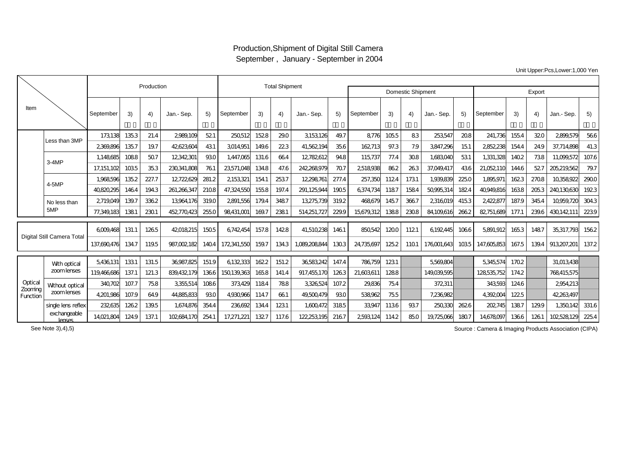## Production,Shipment of Digital Still Camera September , January - September in 2004

Unit Upper:Pcs,Lower:1,000 Yen

|                                |                            |              |       | Production |             |       |             | <b>Total Shipment</b> |       |              |       |            |       |                          |            |        |             |       |       |             |       |
|--------------------------------|----------------------------|--------------|-------|------------|-------------|-------|-------------|-----------------------|-------|--------------|-------|------------|-------|--------------------------|------------|--------|-------------|-------|-------|-------------|-------|
|                                |                            |              |       |            |             |       |             |                       |       |              |       |            |       | <b>Domestic Shipment</b> |            | Export |             |       |       |             |       |
| Item                           |                            | September    | 3)    | 4)         | Jan.- Sep.  | 5)    | September   | 3)                    | 4)    | Jan.- Sep.   | 5)    | September  | 3)    | 4)                       | Jan.- Sep. | 5)     | September   | 3)    | 4)    | Jan.- Sep.  | 5)    |
|                                | Less than 3MP              | 173138       | 1353  | 21.4       | 2989,109    | 521   | 250,512     | 1528                  | 290   | 3153126      | 49.7  | 8776       | 105.5 | 83                       | 253547     | 208    | 241,736     | 1554  | 320   | 2899,579    | 566   |
|                                |                            | 2369896      | 1357  | 19.7       | 42623604    | 431   | 3014951     | 1496                  | 223   | 41.562.194   | 356   | 162.713    | 97.3  | 7.9                      | 3847.296   | 151    | 2852238     | 1544  | 249   | 37.714.898  | 41.3  |
|                                | $3-4MP$                    | 1.148685     | 1088  | 507        | 12342301    | 930   | 1.447.065   | 131.6                 | 664   | 12782612     | 948   | 115,737    | 77.4  | 308                      | 1.683040   | 531    | 1.331.328   | 1402  | 738   | 11.099.572  | 107.6 |
|                                |                            | 17, 151, 102 | 1035  | 353        | 230341,808  | 761   | 23571,048   | 1348                  | 47.6  | 242,268,979  | 707   | 2518938    | 862   | 263                      | 37,049,417 | 436    | 21,052,110  | 1446  | 52.7  | 205,219,562 | 79.7  |
|                                | 4-5MP                      | 1.968596     | 135.2 | 227.7      | 12722629    | 281.2 | 2,153321    | 1541                  | 2537  | 12,298,761   | 277.4 | 257,350    | 1124  | 1731                     | 1.939.839  | 225.0  | 1,895,971   | 1623  | 2708  | 10358922    | 2900  |
|                                |                            | 40820295     | 1464  | 1943       | 261,266,347 | 2108  | 47,324,550  | 1558                  | 197.4 | 291,125,944  | 1905  | 6374.734   | 1187  | 1584                     | 50995314   | 1824   | 40949816    | 1638  | 2053  | 240130630   | 1923  |
|                                | No less than               | 2719049      | 139.7 | 3362       | 13964.176   | 3190  | 2891,556    | 1794                  | 3487  | 13275,739    | 3192  | 468679     | 145.7 | 3667                     | 2,316,019  | 4153   | 2422877     | 187.9 | 3454  | 10959,720   | 3043  |
|                                | 5MP                        | 77,349,183   | 1381  | 2301       | 452770423   | 2550  | 98431,001   | 169.7                 | 2381  | 514,251,727  | 229.9 | 15679312   | 1388  | 2308                     | 84,109,616 | 2662   | 82,751,689  | 177.  | 239.6 | 430142,111  | 2239  |
| Digital Still Camera Total     |                            | 6009468      | 131.1 | 1265       | 42018215    | 1505  | 6742454     | 157.8                 | 1428  | 41.510238    | 1461  | 850542     | 1200  | 1121                     | 6.192445   | 1066   | 5891.912    | 1653  | 1487  | 35,317,790  | 1562  |
|                                |                            | 137,690,476  | 1347  | 1195       | 987.002.182 | 1404  | 172,341,550 | 159.7                 | 1343  | 1.089.208844 | 1303  | 24,735,697 | 125.2 | 1101                     | 176001.643 | 1035   | 147.605.853 | 167.5 | 1394  | 913207,201  | 137.2 |
|                                | With optical<br>zoomlenses | 5,436,131    | 1331  | 131.5      | 36987.825   | 151.9 | 6132333     | 1622                  | 151.2 | 36583242     | 147.4 | 786759     | 1231  |                          | 5569804    |        | 5345574     | 1702  |       | 31.013438   |       |
|                                |                            | 119466686    | 137.1 | 121.3      | 839432.179  | 1366  | 150139,363  | 1658                  | 141.4 | 917,455,170  | 1263  | 21,60361   | 1288  |                          | 149039.595 |        | 128535.752  | 1742  |       | 768415,575  |       |
| Optical<br>Zooming<br>Function | Without optical            | 340,702      | 107.7 | 758        | 3355514     | 1086  | 373429      | 1184                  | 788   | 3326524      | 107.2 | 29836      | 754   |                          | 372.311    |        | 343593      | 1246  |       | 2954213     |       |
|                                | zoomlenses                 | 4201.986     | 107.9 | 649        | 44,885,833  | 930   | 4930966     | 1147                  | 661   | 49,500,479   | 930   | 538962     | 755   |                          | 7,236,982  |        | 4392004     | 122.5 |       | 42,263,497  |       |
|                                | single lens reflex         | 232.635      | 1262  | 1395       | 1,674,876   | 3544  | 236,692     | 1344                  | 1231  | 1,600,472    | 3185  | 33947      | 1136  | 937                      | 250,330    | 2626   | 202,745     | 1387  | 1299  | 1,350,142   | 331.6 |
|                                | exchangeable<br>lenses     | 14021,804    | 1249  | 137.1      | 102684.170  | 254   | 17,271,221  | 1327                  | 117.6 | 122,253,195  | 2167  | 2593124    | 1142  | 850                      | 19,725,066 | 1807   | 14678097    | 1366  | 1261  | 102528129   | 225.4 |

Source : Camera & Imaging Products Association (CIPA)

See Note 3),4),5)